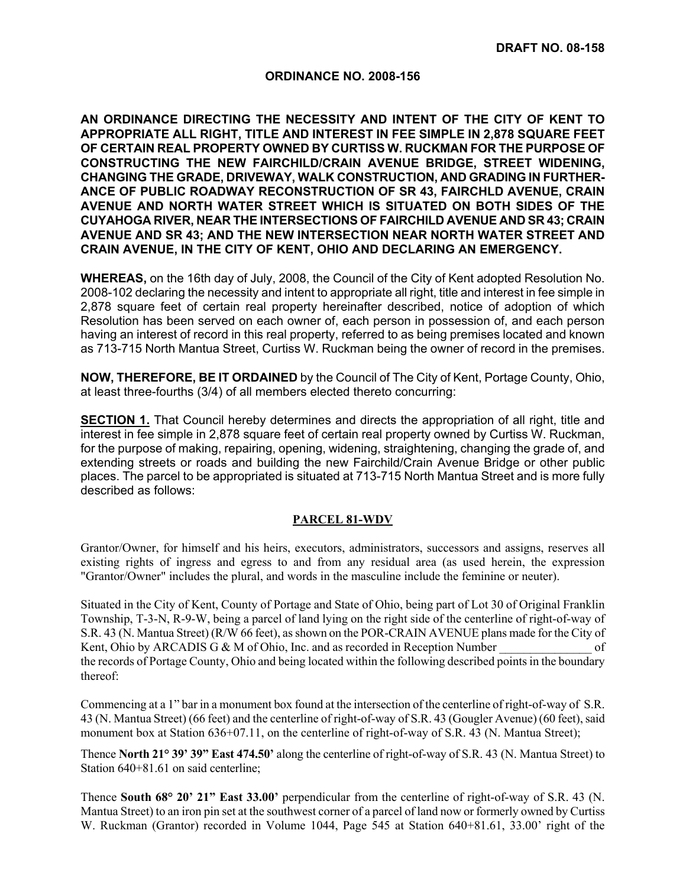## **ORDINANCE NO. 2008-156**

**AN ORDINANCE DIRECTING THE NECESSITY AND INTENT OF THE CITY OF KENT TO APPROPRIATE ALL RIGHT, TITLE AND INTEREST IN FEE SIMPLE IN 2,878 SQUARE FEET OF CERTAIN REAL PROPERTY OWNED BY CURTISS W. RUCKMAN FOR THE PURPOSE OF CONSTRUCTING THE NEW FAIRCHILD/CRAIN AVENUE BRIDGE, STREET WIDENING, CHANGING THE GRADE, DRIVEWAY, WALK CONSTRUCTION, AND GRADING IN FURTHER-ANCE OF PUBLIC ROADWAY RECONSTRUCTION OF SR 43, FAIRCHLD AVENUE, CRAIN AVENUE AND NORTH WATER STREET WHICH IS SITUATED ON BOTH SIDES OF THE CUYAHOGA RIVER, NEAR THE INTERSECTIONS OF FAIRCHILD AVENUE AND SR 43; CRAIN AVENUE AND SR 43; AND THE NEW INTERSECTION NEAR NORTH WATER STREET AND CRAIN AVENUE, IN THE CITY OF KENT, OHIO AND DECLARING AN EMERGENCY.** 

**WHEREAS,** on the 16th day of July, 2008, the Council of the City of Kent adopted Resolution No. 2008-102 declaring the necessity and intent to appropriate all right, title and interest in fee simple in 2,878 square feet of certain real property hereinafter described, notice of adoption of which Resolution has been served on each owner of, each person in possession of, and each person having an interest of record in this real property, referred to as being premises located and known as 713-715 North Mantua Street, Curtiss W. Ruckman being the owner of record in the premises.

**NOW, THEREFORE, BE IT ORDAINED** by the Council of The City of Kent, Portage County, Ohio, at least three-fourths (3/4) of all members elected thereto concurring:

**SECTION 1.** That Council hereby determines and directs the appropriation of all right, title and interest in fee simple in 2,878 square feet of certain real property owned by Curtiss W. Ruckman, for the purpose of making, repairing, opening, widening, straightening, changing the grade of, and extending streets or roads and building the new Fairchild/Crain Avenue Bridge or other public places. The parcel to be appropriated is situated at 713-715 North Mantua Street and is more fully described as follows:

## **PARCEL 81-WDV**

Grantor/Owner, for himself and his heirs, executors, administrators, successors and assigns, reserves all existing rights of ingress and egress to and from any residual area (as used herein, the expression "Grantor/Owner" includes the plural, and words in the masculine include the feminine or neuter).

Situated in the City of Kent, County of Portage and State of Ohio, being part of Lot 30 of Original Franklin Township, T-3-N, R-9-W, being a parcel of land lying on the right side of the centerline of right-of-way of S.R. 43 (N. Mantua Street) (R/W 66 feet), as shown on the POR-CRAIN AVENUE plans made for the City of Kent, Ohio by ARCADIS G & M of Ohio, Inc. and as recorded in Reception Number of the records of Portage County, Ohio and being located within the following described points in the boundary thereof:

Commencing at a 1" bar in a monument box found at the intersection of the centerline of right-of-way of S.R. 43 (N. Mantua Street) (66 feet) and the centerline of right-of-way of S.R. 43 (Gougler Avenue) (60 feet), said monument box at Station  $636+07.11$ , on the centerline of right-of-way of S.R. 43 (N. Mantua Street);

Thence **North 21° 39' 39" East 474.50'** along the centerline of right-of-way of S.R. 43 (N. Mantua Street) to Station  $640+81.61$  on said centerline;

Thence **South 68° 20' 21" East 33.00'** perpendicular from the centerline of right-of-way of S.R. 43 (N. Mantua Street) to an iron pin set at the southwest corner of a parcel of land now or formerly owned by Curtiss W. Ruckman (Grantor) recorded in Volume 1044, Page 545 at Station 640+81.61, 33.00' right of the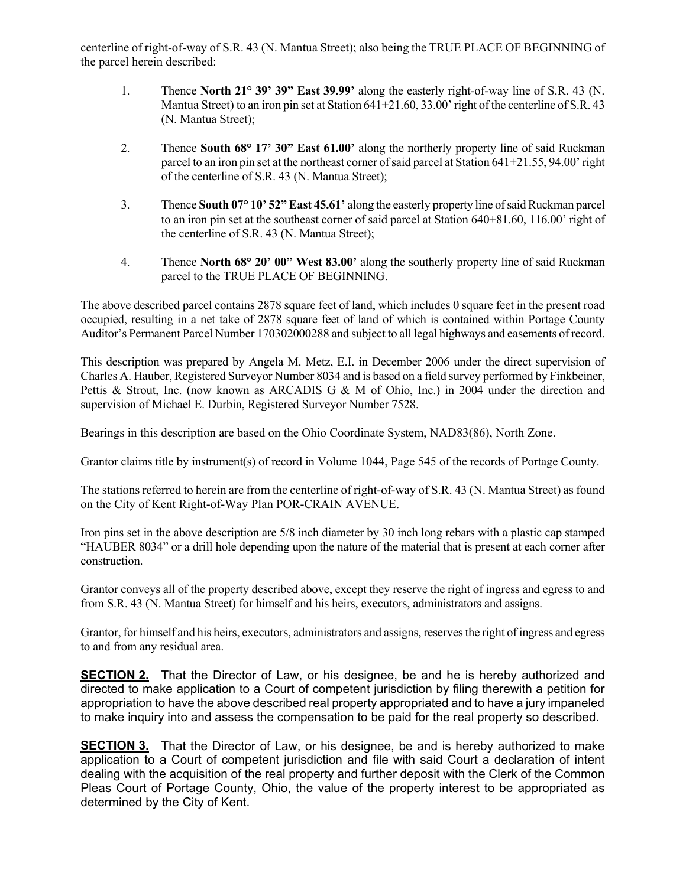centerline of right-of-way of S.R. 43 (N. Mantua Street); also being the TRUE PLACE OF BEGINNING of the parcel herein described:

- 1. Thence **North 21° 39' 39" East 39.99'** along the easterly right-of-way line of S.R. 43 (N. Mantua Street) to an iron pin set at Station 641+21.60, 33.00' right of the centerline of S.R. 43 (N. Mantua Street);
- 2. Thence **South 68° 17' 30" East 61.00'** along the northerly property line of said Ruckman parcel to an iron pin set at the northeast corner of said parcel at Station  $641+21.55$ ,  $94.00'$  right of the centerline of S.R. 43 (N. Mantua Street);
- 3. Thence **South 07° 10' 52" East 45.61'** along the easterly property line of said Ruckman parcel to an iron pin set at the southeast corner of said parcel at Station 640+81.60, 116.00' right of the centerline of S.R. 43 (N. Mantua Street);
- 4. Thence **North 68° 20' 00" West 83.00'** along the southerly property line of said Ruckman parcel to the TRUE PLACE OF BEGINNING.

The above described parcel contains 2878 square feet of land, which includes 0 square feet in the present road occupied, resulting in a net take of 2878 square feet of land of which is contained within Portage County Auditor's Permanent Parcel Number 170302000288 and subject to all legal highways and easements of record.

This description was prepared by Angela M. Metz, E.I. in December 2006 under the direct supervision of Charles A. Hauber, Registered Surveyor Number 8034 and is based on a field survey performed by Finkbeiner, Pettis & Strout, Inc. (now known as ARCADIS G & M of Ohio, Inc.) in 2004 under the direction and supervision of Michael E. Durbin, Registered Surveyor Number 7528.

Bearings in this description are based on the Ohio Coordinate System, NAD83(86), North Zone.

Grantor claims title by instrument(s) of record in Volume 1044, Page 545 of the records of Portage County.

The stations referred to herein are from the centerline of right-of-way of S.R. 43 (N. Mantua Street) as found on the City of Kent Right-of-Way Plan POR-CRAIN AVENUE.

Iron pins set in the above description are 5/8 inch diameter by 30 inch long rebars with a plastic cap stamped "HAUBER 8034" or a drill hole depending upon the nature of the material that is present at each corner after construction.

Grantor conveys all of the property described above, except they reserve the right of ingress and egress to and from S.R. 43 (N. Mantua Street) for himself and his heirs, executors, administrators and assigns.

Grantor, for himself and his heirs, executors, administrators and assigns, reserves the right of ingress and egress to and from any residual area.

**SECTION 2.** That the Director of Law, or his designee, be and he is hereby authorized and directed to make application to a Court of competent jurisdiction by filing therewith a petition for appropriation to have the above described real property appropriated and to have a jury impaneled to make inquiry into and assess the compensation to be paid for the real property so described.

**SECTION 3.** That the Director of Law, or his designee, be and is hereby authorized to make application to a Court of competent jurisdiction and file with said Court a declaration of intent dealing with the acquisition of the real property and further deposit with the Clerk of the Common Pleas Court of Portage County, Ohio, the value of the property interest to be appropriated as determined by the City of Kent.